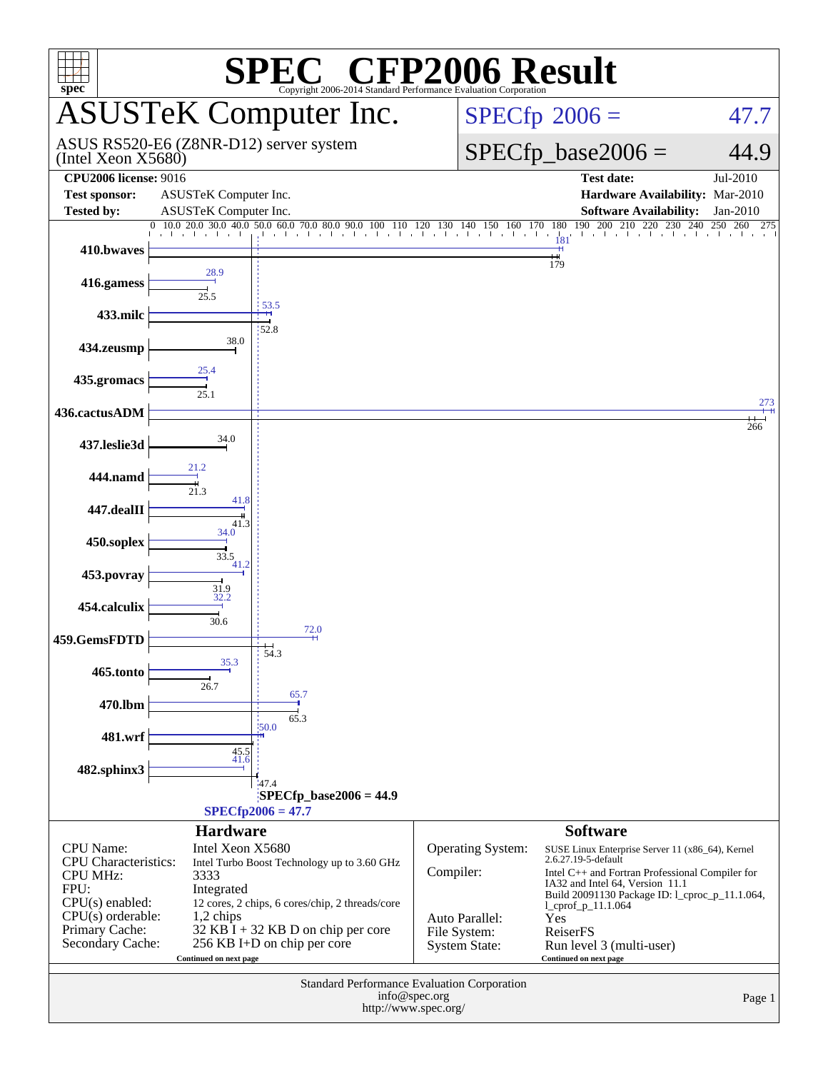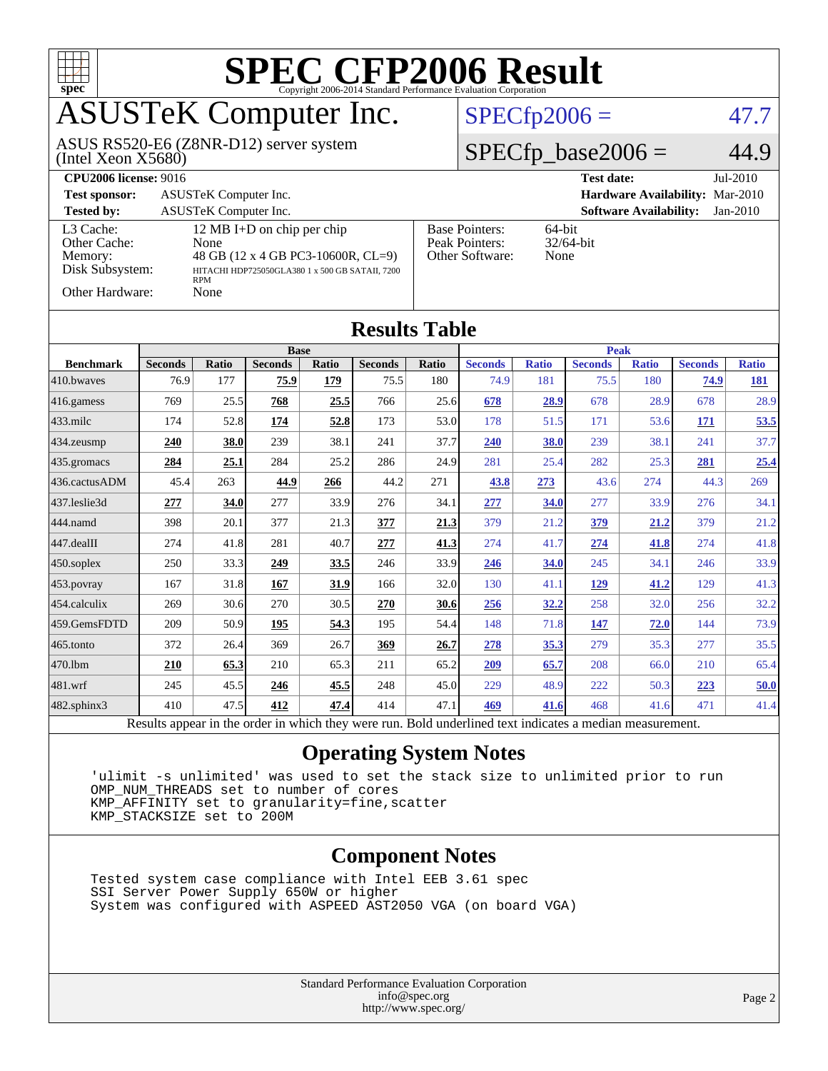

Results appear in the [order in which they were run.](http://www.spec.org/auto/cpu2006/Docs/result-fields.html#RunOrder) Bold underlined text [indicates a median measurement.](http://www.spec.org/auto/cpu2006/Docs/result-fields.html#Median)

### **[Operating System Notes](http://www.spec.org/auto/cpu2006/Docs/result-fields.html#OperatingSystemNotes)**

 'ulimit -s unlimited' was used to set the stack size to unlimited prior to run OMP NUM THREADS set to number of cores KMP\_AFFINITY set to granularity=fine,scatter KMP\_STACKSIZE set to 200M

#### **[Component Notes](http://www.spec.org/auto/cpu2006/Docs/result-fields.html#ComponentNotes)**

 Tested system case compliance with Intel EEB 3.61 spec SSI Server Power Supply 650W or higher System was configured with ASPEED AST2050 VGA (on board VGA)

> Standard Performance Evaluation Corporation [info@spec.org](mailto:info@spec.org) <http://www.spec.org/>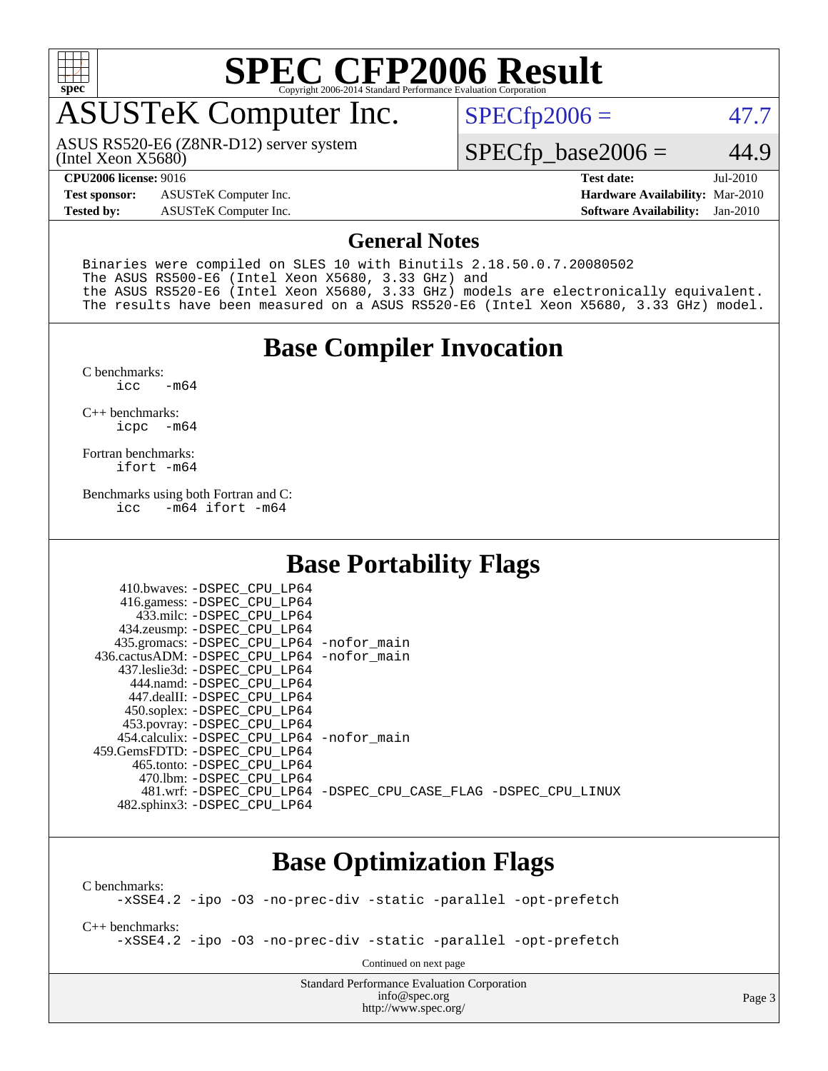

# **[SPEC CFP2006 Result](http://www.spec.org/auto/cpu2006/Docs/result-fields.html#SPECCFP2006Result)**

# ASUSTeK Computer Inc.

(Intel Xeon X5680) ASUS RS520-E6 (Z8NR-D12) server system  $SPECTp2006 = 47.7$ 

### $SPECfp\_base2006 = 44.9$

**[Test sponsor:](http://www.spec.org/auto/cpu2006/Docs/result-fields.html#Testsponsor)** ASUSTeK Computer Inc. **[Hardware Availability:](http://www.spec.org/auto/cpu2006/Docs/result-fields.html#HardwareAvailability)** Mar-2010

**[CPU2006 license:](http://www.spec.org/auto/cpu2006/Docs/result-fields.html#CPU2006license)** 9016 **[Test date:](http://www.spec.org/auto/cpu2006/Docs/result-fields.html#Testdate)** Jul-2010 **[Tested by:](http://www.spec.org/auto/cpu2006/Docs/result-fields.html#Testedby)** ASUSTeK Computer Inc. **[Software Availability:](http://www.spec.org/auto/cpu2006/Docs/result-fields.html#SoftwareAvailability)** Jan-2010

### **[General Notes](http://www.spec.org/auto/cpu2006/Docs/result-fields.html#GeneralNotes)**

Binaries were compiled on SLES 10 with Binutils 2.18.50.0.7.20080502 The ASUS RS500-E6 (Intel Xeon X5680, 3.33 GHz) and the ASUS RS520-E6 (Intel Xeon X5680, 3.33 GHz) models are electronically equivalent. The results have been measured on a ASUS RS520-E6 (Intel Xeon X5680, 3.33 GHz) model.

### **[Base Compiler Invocation](http://www.spec.org/auto/cpu2006/Docs/result-fields.html#BaseCompilerInvocation)**

 $C$  benchmarks:<br>icc  $-m64$ 

[C++ benchmarks:](http://www.spec.org/auto/cpu2006/Docs/result-fields.html#CXXbenchmarks) [icpc -m64](http://www.spec.org/cpu2006/results/res2010q3/cpu2006-20100705-12177.flags.html#user_CXXbase_intel_icpc_64bit_bedb90c1146cab66620883ef4f41a67e)

[Fortran benchmarks](http://www.spec.org/auto/cpu2006/Docs/result-fields.html#Fortranbenchmarks): [ifort -m64](http://www.spec.org/cpu2006/results/res2010q3/cpu2006-20100705-12177.flags.html#user_FCbase_intel_ifort_64bit_ee9d0fb25645d0210d97eb0527dcc06e)

[Benchmarks using both Fortran and C](http://www.spec.org/auto/cpu2006/Docs/result-fields.html#BenchmarksusingbothFortranandC): [icc -m64](http://www.spec.org/cpu2006/results/res2010q3/cpu2006-20100705-12177.flags.html#user_CC_FCbase_intel_icc_64bit_0b7121f5ab7cfabee23d88897260401c) [ifort -m64](http://www.spec.org/cpu2006/results/res2010q3/cpu2006-20100705-12177.flags.html#user_CC_FCbase_intel_ifort_64bit_ee9d0fb25645d0210d97eb0527dcc06e)

 $410 \text{ hwayes: } -$ DSPEC\_CPU\_LP64

### **[Base Portability Flags](http://www.spec.org/auto/cpu2006/Docs/result-fields.html#BasePortabilityFlags)**

| TIU.UWAYCS. DOFEC CFU LIFUT                |                                                                |
|--------------------------------------------|----------------------------------------------------------------|
| 416.gamess: -DSPEC_CPU_LP64                |                                                                |
| 433.milc: -DSPEC CPU LP64                  |                                                                |
| 434.zeusmp: -DSPEC_CPU_LP64                |                                                                |
| 435.gromacs: -DSPEC_CPU_LP64 -nofor_main   |                                                                |
| 436.cactusADM: -DSPEC_CPU_LP64 -nofor main |                                                                |
| 437.leslie3d: -DSPEC CPU LP64              |                                                                |
| 444.namd: -DSPEC CPU LP64                  |                                                                |
| 447.dealII: -DSPEC CPU LP64                |                                                                |
| 450.soplex: -DSPEC_CPU_LP64                |                                                                |
| 453.povray: -DSPEC_CPU_LP64                |                                                                |
| 454.calculix: -DSPEC CPU LP64 -nofor main  |                                                                |
| 459. GemsFDTD: - DSPEC CPU LP64            |                                                                |
| 465.tonto: - DSPEC CPU LP64                |                                                                |
| 470.1bm: - DSPEC CPU LP64                  |                                                                |
|                                            | 481.wrf: -DSPEC CPU LP64 -DSPEC CPU CASE FLAG -DSPEC CPU LINUX |
| 482.sphinx3: -DSPEC CPU LP64               |                                                                |
|                                            |                                                                |

### **[Base Optimization Flags](http://www.spec.org/auto/cpu2006/Docs/result-fields.html#BaseOptimizationFlags)**

[C benchmarks](http://www.spec.org/auto/cpu2006/Docs/result-fields.html#Cbenchmarks): [-xSSE4.2](http://www.spec.org/cpu2006/results/res2010q3/cpu2006-20100705-12177.flags.html#user_CCbase_f-xSSE42_f91528193cf0b216347adb8b939d4107) [-ipo](http://www.spec.org/cpu2006/results/res2010q3/cpu2006-20100705-12177.flags.html#user_CCbase_f-ipo) [-O3](http://www.spec.org/cpu2006/results/res2010q3/cpu2006-20100705-12177.flags.html#user_CCbase_f-O3) [-no-prec-div](http://www.spec.org/cpu2006/results/res2010q3/cpu2006-20100705-12177.flags.html#user_CCbase_f-no-prec-div) [-static](http://www.spec.org/cpu2006/results/res2010q3/cpu2006-20100705-12177.flags.html#user_CCbase_f-static) [-parallel](http://www.spec.org/cpu2006/results/res2010q3/cpu2006-20100705-12177.flags.html#user_CCbase_f-parallel) [-opt-prefetch](http://www.spec.org/cpu2006/results/res2010q3/cpu2006-20100705-12177.flags.html#user_CCbase_f-opt-prefetch) [C++ benchmarks:](http://www.spec.org/auto/cpu2006/Docs/result-fields.html#CXXbenchmarks) [-xSSE4.2](http://www.spec.org/cpu2006/results/res2010q3/cpu2006-20100705-12177.flags.html#user_CXXbase_f-xSSE42_f91528193cf0b216347adb8b939d4107) [-ipo](http://www.spec.org/cpu2006/results/res2010q3/cpu2006-20100705-12177.flags.html#user_CXXbase_f-ipo) [-O3](http://www.spec.org/cpu2006/results/res2010q3/cpu2006-20100705-12177.flags.html#user_CXXbase_f-O3) [-no-prec-div](http://www.spec.org/cpu2006/results/res2010q3/cpu2006-20100705-12177.flags.html#user_CXXbase_f-no-prec-div) [-static](http://www.spec.org/cpu2006/results/res2010q3/cpu2006-20100705-12177.flags.html#user_CXXbase_f-static) [-parallel](http://www.spec.org/cpu2006/results/res2010q3/cpu2006-20100705-12177.flags.html#user_CXXbase_f-parallel) [-opt-prefetch](http://www.spec.org/cpu2006/results/res2010q3/cpu2006-20100705-12177.flags.html#user_CXXbase_f-opt-prefetch) Continued on next page

> Standard Performance Evaluation Corporation [info@spec.org](mailto:info@spec.org) <http://www.spec.org/>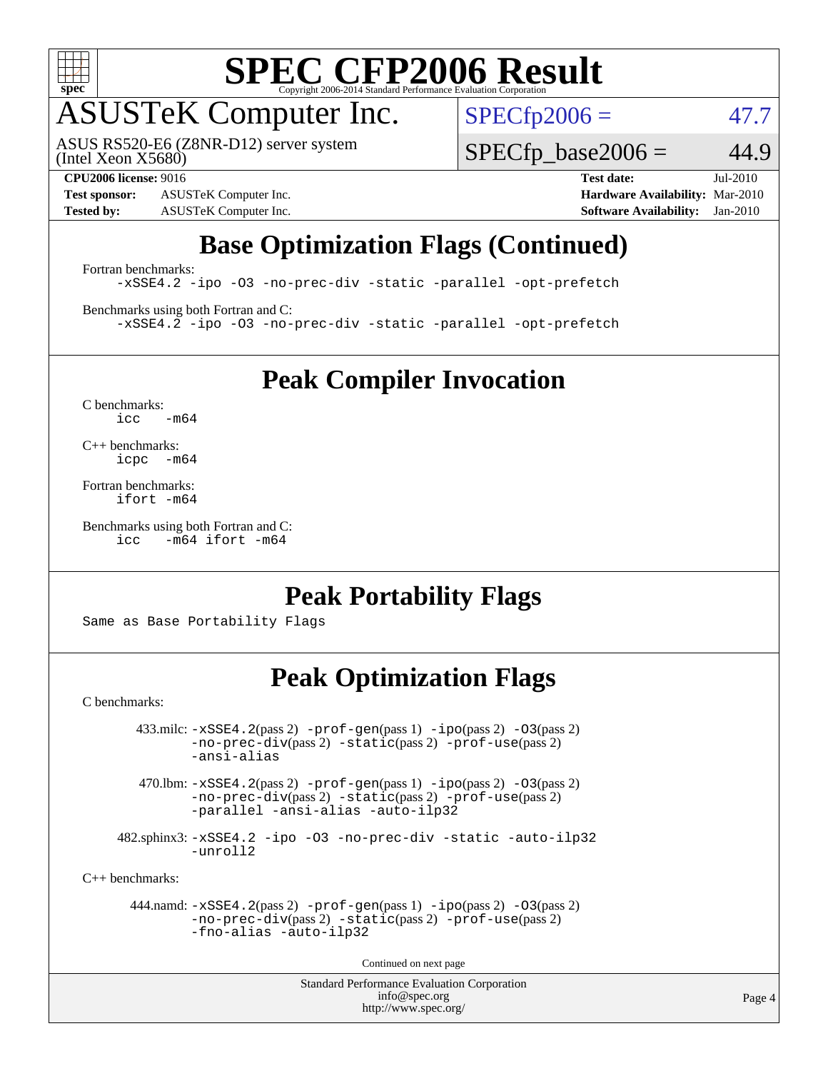

# **[SPEC CFP2006 Result](http://www.spec.org/auto/cpu2006/Docs/result-fields.html#SPECCFP2006Result)**

# ASUSTeK Computer Inc.

ASUS RS520-E6 (Z8NR-D12) server system

 $SPECfp2006 = 47.7$  $SPECfp2006 = 47.7$ 

(Intel Xeon X5680)

**[Test sponsor:](http://www.spec.org/auto/cpu2006/Docs/result-fields.html#Testsponsor)** ASUSTeK Computer Inc. **[Hardware Availability:](http://www.spec.org/auto/cpu2006/Docs/result-fields.html#HardwareAvailability)** Mar-2010 **[Tested by:](http://www.spec.org/auto/cpu2006/Docs/result-fields.html#Testedby)** ASUSTeK Computer Inc. **[Software Availability:](http://www.spec.org/auto/cpu2006/Docs/result-fields.html#SoftwareAvailability)** Jan-2010

 $SPECTp\_base2006 = 44.9$ 

**[CPU2006 license:](http://www.spec.org/auto/cpu2006/Docs/result-fields.html#CPU2006license)** 9016 **[Test date:](http://www.spec.org/auto/cpu2006/Docs/result-fields.html#Testdate)** Jul-2010

# **[Base Optimization Flags \(Continued\)](http://www.spec.org/auto/cpu2006/Docs/result-fields.html#BaseOptimizationFlags)**

[Fortran benchmarks](http://www.spec.org/auto/cpu2006/Docs/result-fields.html#Fortranbenchmarks): [-xSSE4.2](http://www.spec.org/cpu2006/results/res2010q3/cpu2006-20100705-12177.flags.html#user_FCbase_f-xSSE42_f91528193cf0b216347adb8b939d4107) [-ipo](http://www.spec.org/cpu2006/results/res2010q3/cpu2006-20100705-12177.flags.html#user_FCbase_f-ipo) [-O3](http://www.spec.org/cpu2006/results/res2010q3/cpu2006-20100705-12177.flags.html#user_FCbase_f-O3) [-no-prec-div](http://www.spec.org/cpu2006/results/res2010q3/cpu2006-20100705-12177.flags.html#user_FCbase_f-no-prec-div) [-static](http://www.spec.org/cpu2006/results/res2010q3/cpu2006-20100705-12177.flags.html#user_FCbase_f-static) [-parallel](http://www.spec.org/cpu2006/results/res2010q3/cpu2006-20100705-12177.flags.html#user_FCbase_f-parallel) [-opt-prefetch](http://www.spec.org/cpu2006/results/res2010q3/cpu2006-20100705-12177.flags.html#user_FCbase_f-opt-prefetch)

[Benchmarks using both Fortran and C](http://www.spec.org/auto/cpu2006/Docs/result-fields.html#BenchmarksusingbothFortranandC): [-xSSE4.2](http://www.spec.org/cpu2006/results/res2010q3/cpu2006-20100705-12177.flags.html#user_CC_FCbase_f-xSSE42_f91528193cf0b216347adb8b939d4107) [-ipo](http://www.spec.org/cpu2006/results/res2010q3/cpu2006-20100705-12177.flags.html#user_CC_FCbase_f-ipo) [-O3](http://www.spec.org/cpu2006/results/res2010q3/cpu2006-20100705-12177.flags.html#user_CC_FCbase_f-O3) [-no-prec-div](http://www.spec.org/cpu2006/results/res2010q3/cpu2006-20100705-12177.flags.html#user_CC_FCbase_f-no-prec-div) [-static](http://www.spec.org/cpu2006/results/res2010q3/cpu2006-20100705-12177.flags.html#user_CC_FCbase_f-static) [-parallel](http://www.spec.org/cpu2006/results/res2010q3/cpu2006-20100705-12177.flags.html#user_CC_FCbase_f-parallel) [-opt-prefetch](http://www.spec.org/cpu2006/results/res2010q3/cpu2006-20100705-12177.flags.html#user_CC_FCbase_f-opt-prefetch)

**[Peak Compiler Invocation](http://www.spec.org/auto/cpu2006/Docs/result-fields.html#PeakCompilerInvocation)**

[C benchmarks](http://www.spec.org/auto/cpu2006/Docs/result-fields.html#Cbenchmarks):  $i<sub>c</sub>$   $-m64$ 

[C++ benchmarks:](http://www.spec.org/auto/cpu2006/Docs/result-fields.html#CXXbenchmarks) [icpc -m64](http://www.spec.org/cpu2006/results/res2010q3/cpu2006-20100705-12177.flags.html#user_CXXpeak_intel_icpc_64bit_bedb90c1146cab66620883ef4f41a67e)

[Fortran benchmarks](http://www.spec.org/auto/cpu2006/Docs/result-fields.html#Fortranbenchmarks): [ifort -m64](http://www.spec.org/cpu2006/results/res2010q3/cpu2006-20100705-12177.flags.html#user_FCpeak_intel_ifort_64bit_ee9d0fb25645d0210d97eb0527dcc06e)

[Benchmarks using both Fortran and C](http://www.spec.org/auto/cpu2006/Docs/result-fields.html#BenchmarksusingbothFortranandC): [icc -m64](http://www.spec.org/cpu2006/results/res2010q3/cpu2006-20100705-12177.flags.html#user_CC_FCpeak_intel_icc_64bit_0b7121f5ab7cfabee23d88897260401c) [ifort -m64](http://www.spec.org/cpu2006/results/res2010q3/cpu2006-20100705-12177.flags.html#user_CC_FCpeak_intel_ifort_64bit_ee9d0fb25645d0210d97eb0527dcc06e)

## **[Peak Portability Flags](http://www.spec.org/auto/cpu2006/Docs/result-fields.html#PeakPortabilityFlags)**

Same as Base Portability Flags

## **[Peak Optimization Flags](http://www.spec.org/auto/cpu2006/Docs/result-fields.html#PeakOptimizationFlags)**

[C benchmarks](http://www.spec.org/auto/cpu2006/Docs/result-fields.html#Cbenchmarks):

 $433 \text{.}$ milc:  $-xSSE4$ .  $2(pass 2)$  - $prof-gen(pass 1)$  - $ipo(pass 2)$  [-O3](http://www.spec.org/cpu2006/results/res2010q3/cpu2006-20100705-12177.flags.html#user_peakPASS2_CFLAGSPASS2_LDFLAGS433_milc_f-O3) $(pass 2)$ [-no-prec-div](http://www.spec.org/cpu2006/results/res2010q3/cpu2006-20100705-12177.flags.html#user_peakPASS2_CFLAGSPASS2_LDFLAGS433_milc_f-no-prec-div)(pass 2) [-static](http://www.spec.org/cpu2006/results/res2010q3/cpu2006-20100705-12177.flags.html#user_peakPASS2_CFLAGSPASS2_LDFLAGS433_milc_f-static)(pass 2) [-prof-use](http://www.spec.org/cpu2006/results/res2010q3/cpu2006-20100705-12177.flags.html#user_peakPASS2_CFLAGSPASS2_LDFLAGS433_milc_prof_use_bccf7792157ff70d64e32fe3e1250b55)(pass 2) [-ansi-alias](http://www.spec.org/cpu2006/results/res2010q3/cpu2006-20100705-12177.flags.html#user_peakOPTIMIZE433_milc_f-ansi-alias)

 470.lbm: [-xSSE4.2](http://www.spec.org/cpu2006/results/res2010q3/cpu2006-20100705-12177.flags.html#user_peakPASS2_CFLAGSPASS2_LDFLAGS470_lbm_f-xSSE42_f91528193cf0b216347adb8b939d4107)(pass 2) [-prof-gen](http://www.spec.org/cpu2006/results/res2010q3/cpu2006-20100705-12177.flags.html#user_peakPASS1_CFLAGSPASS1_LDFLAGS470_lbm_prof_gen_e43856698f6ca7b7e442dfd80e94a8fc)(pass 1) [-ipo](http://www.spec.org/cpu2006/results/res2010q3/cpu2006-20100705-12177.flags.html#user_peakPASS2_CFLAGSPASS2_LDFLAGS470_lbm_f-ipo)(pass 2) [-O3](http://www.spec.org/cpu2006/results/res2010q3/cpu2006-20100705-12177.flags.html#user_peakPASS2_CFLAGSPASS2_LDFLAGS470_lbm_f-O3)(pass 2) [-no-prec-div](http://www.spec.org/cpu2006/results/res2010q3/cpu2006-20100705-12177.flags.html#user_peakPASS2_CFLAGSPASS2_LDFLAGS470_lbm_f-no-prec-div)(pass 2) [-static](http://www.spec.org/cpu2006/results/res2010q3/cpu2006-20100705-12177.flags.html#user_peakPASS2_CFLAGSPASS2_LDFLAGS470_lbm_f-static)(pass 2) [-prof-use](http://www.spec.org/cpu2006/results/res2010q3/cpu2006-20100705-12177.flags.html#user_peakPASS2_CFLAGSPASS2_LDFLAGS470_lbm_prof_use_bccf7792157ff70d64e32fe3e1250b55)(pass 2) [-parallel](http://www.spec.org/cpu2006/results/res2010q3/cpu2006-20100705-12177.flags.html#user_peakOPTIMIZE470_lbm_f-parallel) [-ansi-alias](http://www.spec.org/cpu2006/results/res2010q3/cpu2006-20100705-12177.flags.html#user_peakOPTIMIZE470_lbm_f-ansi-alias) [-auto-ilp32](http://www.spec.org/cpu2006/results/res2010q3/cpu2006-20100705-12177.flags.html#user_peakCOPTIMIZE470_lbm_f-auto-ilp32)

 482.sphinx3: [-xSSE4.2](http://www.spec.org/cpu2006/results/res2010q3/cpu2006-20100705-12177.flags.html#user_peakOPTIMIZE482_sphinx3_f-xSSE42_f91528193cf0b216347adb8b939d4107) [-ipo](http://www.spec.org/cpu2006/results/res2010q3/cpu2006-20100705-12177.flags.html#user_peakOPTIMIZE482_sphinx3_f-ipo) [-O3](http://www.spec.org/cpu2006/results/res2010q3/cpu2006-20100705-12177.flags.html#user_peakOPTIMIZE482_sphinx3_f-O3) [-no-prec-div](http://www.spec.org/cpu2006/results/res2010q3/cpu2006-20100705-12177.flags.html#user_peakOPTIMIZE482_sphinx3_f-no-prec-div) [-static](http://www.spec.org/cpu2006/results/res2010q3/cpu2006-20100705-12177.flags.html#user_peakOPTIMIZE482_sphinx3_f-static) [-auto-ilp32](http://www.spec.org/cpu2006/results/res2010q3/cpu2006-20100705-12177.flags.html#user_peakCOPTIMIZE482_sphinx3_f-auto-ilp32) [-unroll2](http://www.spec.org/cpu2006/results/res2010q3/cpu2006-20100705-12177.flags.html#user_peakCOPTIMIZE482_sphinx3_f-unroll_784dae83bebfb236979b41d2422d7ec2)

[C++ benchmarks:](http://www.spec.org/auto/cpu2006/Docs/result-fields.html#CXXbenchmarks)

 444.namd: [-xSSE4.2](http://www.spec.org/cpu2006/results/res2010q3/cpu2006-20100705-12177.flags.html#user_peakPASS2_CXXFLAGSPASS2_LDFLAGS444_namd_f-xSSE42_f91528193cf0b216347adb8b939d4107)(pass 2) [-prof-gen](http://www.spec.org/cpu2006/results/res2010q3/cpu2006-20100705-12177.flags.html#user_peakPASS1_CXXFLAGSPASS1_LDFLAGS444_namd_prof_gen_e43856698f6ca7b7e442dfd80e94a8fc)(pass 1) [-ipo](http://www.spec.org/cpu2006/results/res2010q3/cpu2006-20100705-12177.flags.html#user_peakPASS2_CXXFLAGSPASS2_LDFLAGS444_namd_f-ipo)(pass 2) [-O3](http://www.spec.org/cpu2006/results/res2010q3/cpu2006-20100705-12177.flags.html#user_peakPASS2_CXXFLAGSPASS2_LDFLAGS444_namd_f-O3)(pass 2) [-no-prec-div](http://www.spec.org/cpu2006/results/res2010q3/cpu2006-20100705-12177.flags.html#user_peakPASS2_CXXFLAGSPASS2_LDFLAGS444_namd_f-no-prec-div)(pass 2) [-static](http://www.spec.org/cpu2006/results/res2010q3/cpu2006-20100705-12177.flags.html#user_peakPASS2_CXXFLAGSPASS2_LDFLAGS444_namd_f-static)(pass 2) [-prof-use](http://www.spec.org/cpu2006/results/res2010q3/cpu2006-20100705-12177.flags.html#user_peakPASS2_CXXFLAGSPASS2_LDFLAGS444_namd_prof_use_bccf7792157ff70d64e32fe3e1250b55)(pass 2) [-fno-alias](http://www.spec.org/cpu2006/results/res2010q3/cpu2006-20100705-12177.flags.html#user_peakOPTIMIZE444_namd_f-no-alias_694e77f6c5a51e658e82ccff53a9e63a) [-auto-ilp32](http://www.spec.org/cpu2006/results/res2010q3/cpu2006-20100705-12177.flags.html#user_peakCXXOPTIMIZE444_namd_f-auto-ilp32)

Continued on next page

Standard Performance Evaluation Corporation [info@spec.org](mailto:info@spec.org) <http://www.spec.org/>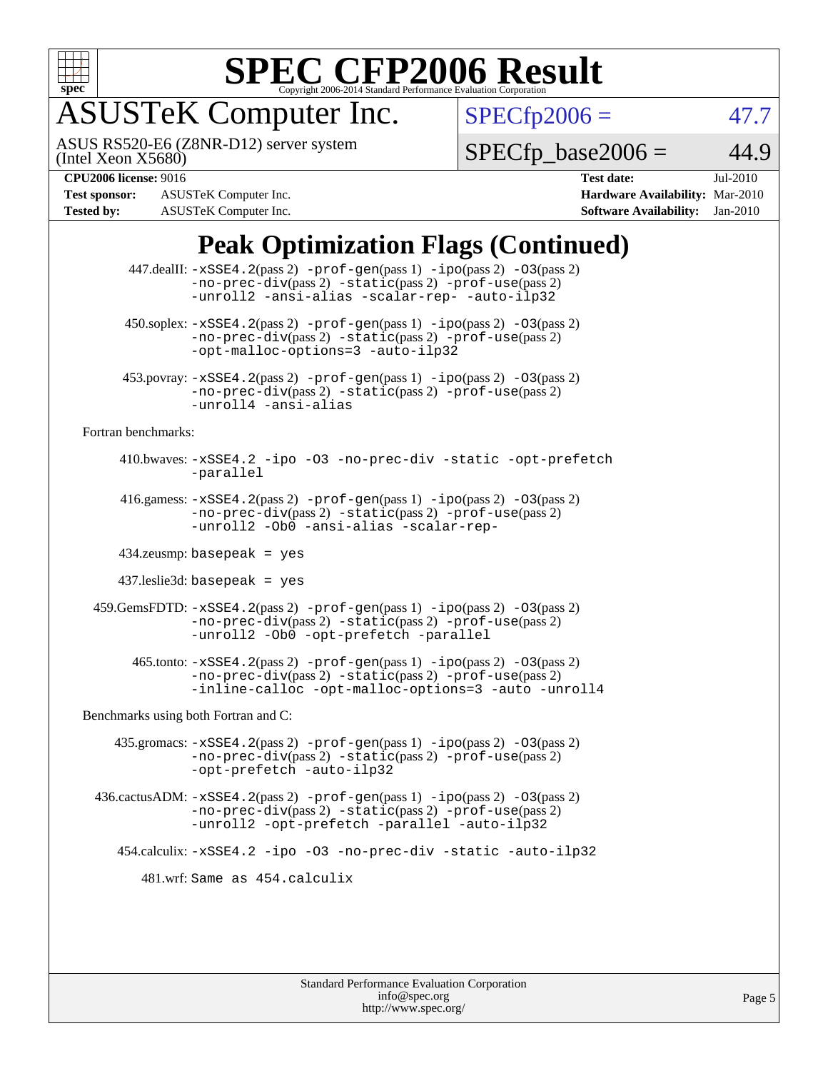

# **[SPEC CFP2006 Result](http://www.spec.org/auto/cpu2006/Docs/result-fields.html#SPECCFP2006Result)**

# ASUSTeK Computer Inc.

ASUS RS520-E6 (Z8NR-D12) server system

 $SPECfp2006 = 47.7$  $SPECfp2006 = 47.7$ 

(Intel Xeon X5680)

**[Test sponsor:](http://www.spec.org/auto/cpu2006/Docs/result-fields.html#Testsponsor)** ASUSTeK Computer Inc. **[Hardware Availability:](http://www.spec.org/auto/cpu2006/Docs/result-fields.html#HardwareAvailability)** Mar-2010 **[Tested by:](http://www.spec.org/auto/cpu2006/Docs/result-fields.html#Testedby)** ASUSTeK Computer Inc. **[Software Availability:](http://www.spec.org/auto/cpu2006/Docs/result-fields.html#SoftwareAvailability)** Jan-2010

 $SPECfp\_base2006 = 44.9$ **[CPU2006 license:](http://www.spec.org/auto/cpu2006/Docs/result-fields.html#CPU2006license)** 9016 **[Test date:](http://www.spec.org/auto/cpu2006/Docs/result-fields.html#Testdate)** Jul-2010

## **[Peak Optimization Flags \(Continued\)](http://www.spec.org/auto/cpu2006/Docs/result-fields.html#PeakOptimizationFlags)**

|                                      | 447.dealII: -xSSE4.2(pass 2) -prof-gen(pass 1) -ipo(pass 2) -03(pass 2)<br>$-no-prec-div(pass 2) -static(pass 2) -prof-use(pass 2)$<br>-unroll2 -ansi-alias -scalar-rep- -auto-ilp32    |  |  |  |  |  |
|--------------------------------------|-----------------------------------------------------------------------------------------------------------------------------------------------------------------------------------------|--|--|--|--|--|
|                                      | $450$ .soplex: $-xSSE4$ . $2(pass 2)$ -prof-gen(pass 1) -ipo(pass 2) -03(pass 2)<br>$-no-prec-div(pass 2) -static(pass 2) -prot-use(pass 2)$<br>-opt-malloc-options=3 -auto-ilp32       |  |  |  |  |  |
|                                      | 453.povray: -xSSE4.2(pass 2) -prof-gen(pass 1) -ipo(pass 2) -03(pass 2)<br>-no-prec-div(pass 2) -static(pass 2) -prof-use(pass 2)<br>-unroll4 -ansi-alias                               |  |  |  |  |  |
| Fortran benchmarks:                  |                                                                                                                                                                                         |  |  |  |  |  |
|                                      | 410.bwaves: -xSSE4.2 -ipo -03 -no-prec-div -static -opt-prefetch<br>-parallel                                                                                                           |  |  |  |  |  |
|                                      | 416.gamess: -xSSE4.2(pass 2) -prof-gen(pass 1) -ipo(pass 2) -03(pass 2)<br>-no-prec-div(pass 2) -static(pass 2) -prof-use(pass 2)<br>-unroll2 - ObO -ansi-alias -scalar-rep-            |  |  |  |  |  |
| $434$ .zeusmp: basepeak = yes        |                                                                                                                                                                                         |  |  |  |  |  |
| $437$ leslie3d: basepeak = yes       |                                                                                                                                                                                         |  |  |  |  |  |
|                                      | 459. GemsFDTD: -xSSE4. 2(pass 2) -prof-gen(pass 1) -ipo(pass 2) -03(pass 2)<br>-no-prec-div(pass 2) -static(pass 2) -prof-use(pass 2)<br>-unroll2 -Ob0 -opt-prefetch -parallel          |  |  |  |  |  |
|                                      | 465.tonto: -xSSE4.2(pass 2) -prof-gen(pass 1) -ipo(pass 2) -03(pass 2)<br>-no-prec-div(pass 2) -static(pass 2) -prof-use(pass 2)<br>-inline-calloc -opt-malloc-options=3 -auto -unroll4 |  |  |  |  |  |
| Benchmarks using both Fortran and C: |                                                                                                                                                                                         |  |  |  |  |  |
|                                      | $435$ .gromacs: $-xSSE4$ . 2(pass 2) $-prof-gen(pass 1) -ipo(pass 2) -03(pass 2)$<br>-no-prec-div(pass 2) -static(pass 2) -prof-use(pass 2)<br>-opt-prefetch -auto-ilp32                |  |  |  |  |  |
|                                      | 436.cactusADM: -xSSE4.2(pass 2) -prof-gen(pass 1) -ipo(pass 2) -03(pass 2)<br>-no-prec-div(pass 2) -static(pass 2) -prof-use(pass 2)<br>-unroll2 -opt-prefetch -parallel -auto-ilp32    |  |  |  |  |  |
|                                      | 454.calculix: -xSSE4.2 -ipo -03 -no-prec-div -static -auto-ilp32                                                                                                                        |  |  |  |  |  |
| 481.wrf: Same as 454.calculix        |                                                                                                                                                                                         |  |  |  |  |  |
|                                      |                                                                                                                                                                                         |  |  |  |  |  |
|                                      |                                                                                                                                                                                         |  |  |  |  |  |